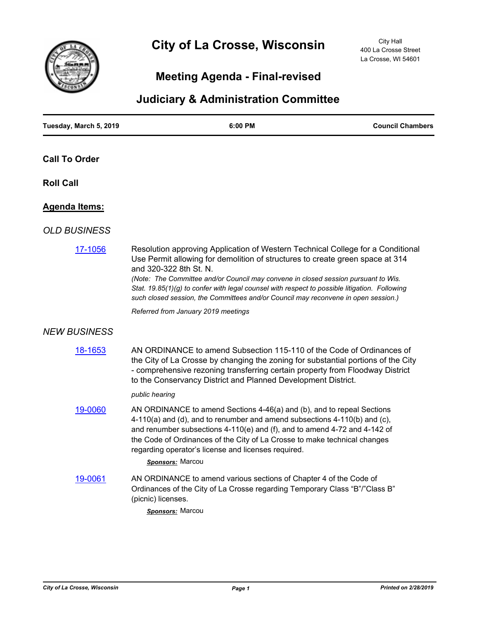

# **City of La Crosse, Wisconsin**

City Hall 400 La Crosse Street La Crosse, WI 54601

## **Meeting Agenda - Final-revised**

### **Judiciary & Administration Committee**

| Tuesday, March 5, 2019 | 6:00 PM                                                                                                                                                                                                                                                                                                                                                                                                                                                                 | <b>Council Chambers</b> |
|------------------------|-------------------------------------------------------------------------------------------------------------------------------------------------------------------------------------------------------------------------------------------------------------------------------------------------------------------------------------------------------------------------------------------------------------------------------------------------------------------------|-------------------------|
| <b>Call To Order</b>   |                                                                                                                                                                                                                                                                                                                                                                                                                                                                         |                         |
| <b>Roll Call</b>       |                                                                                                                                                                                                                                                                                                                                                                                                                                                                         |                         |
| <u> Agenda Items:</u>  |                                                                                                                                                                                                                                                                                                                                                                                                                                                                         |                         |
| <b>OLD BUSINESS</b>    |                                                                                                                                                                                                                                                                                                                                                                                                                                                                         |                         |
| 17-1056                | Resolution approving Application of Western Technical College for a Conditional<br>Use Permit allowing for demolition of structures to create green space at 314<br>and 320-322 8th St. N.<br>(Note: The Committee and/or Council may convene in closed session pursuant to Wis.<br>Stat. 19.85(1)(g) to confer with legal counsel with respect to possible litigation. Following<br>such closed session, the Committees and/or Council may reconvene in open session.) |                         |
|                        | Referred from January 2019 meetings                                                                                                                                                                                                                                                                                                                                                                                                                                     |                         |
| <b>NEW BUSINESS</b>    |                                                                                                                                                                                                                                                                                                                                                                                                                                                                         |                         |
| 18-1653                | AN ORDINANCE to amend Subsection 115-110 of the Code of Ordinances of<br>the City of La Crosse by changing the zoning for substantial portions of the City<br>- comprehensive rezoning transferring certain property from Floodway District<br>to the Conservancy District and Planned Development District.                                                                                                                                                            |                         |
|                        | public hearing                                                                                                                                                                                                                                                                                                                                                                                                                                                          |                         |
| 19-0060                | AN ORDINANCE to amend Sections 4-46(a) and (b), and to repeal Sections<br>$4-110(a)$ and (d), and to renumber and amend subsections $4-110(b)$ and (c),<br>and renumber subsections $4-110(e)$ and (f), and to amend $4-72$ and $4-142$ of<br>the Code of Ordinances of the City of La Crosse to make technical changes<br>regarding operator's license and licenses required.<br>Sponsors: Marcou                                                                      |                         |
| 19-0061                | AN ORDINANCE to amend various sections of Chapter 4 of the Code of<br>Ordinances of the City of La Crosse regarding Temporary Class "B"/"Class B"<br>(picnic) licenses.<br><b>Sponsors: Marcoul</b>                                                                                                                                                                                                                                                                     |                         |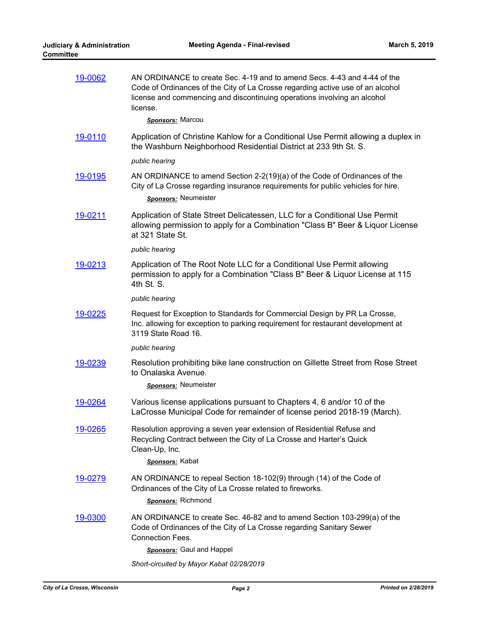| 19-0062 | AN ORDINANCE to create Sec. 4-19 and to amend Secs. 4-43 and 4-44 of the<br>Code of Ordinances of the City of La Crosse regarding active use of an alcohol<br>license and commencing and discontinuing operations involving an alcohol<br>license. |
|---------|----------------------------------------------------------------------------------------------------------------------------------------------------------------------------------------------------------------------------------------------------|
|         | <b>Sponsors: Marcou</b>                                                                                                                                                                                                                            |
| 19-0110 | Application of Christine Kahlow for a Conditional Use Permit allowing a duplex in<br>the Washburn Neighborhood Residential District at 233 9th St. S.                                                                                              |
|         | public hearing                                                                                                                                                                                                                                     |
| 19-0195 | AN ORDINANCE to amend Section 2-2(19)(a) of the Code of Ordinances of the<br>City of La Crosse regarding insurance requirements for public vehicles for hire.<br>Sponsors: Neumeister                                                              |
| 19-0211 | Application of State Street Delicatessen, LLC for a Conditional Use Permit<br>allowing permission to apply for a Combination "Class B" Beer & Liquor License<br>at 321 State St.                                                                   |
|         | public hearing                                                                                                                                                                                                                                     |
| 19-0213 | Application of The Root Note LLC for a Conditional Use Permit allowing<br>permission to apply for a Combination "Class B" Beer & Liquor License at 115<br>4th St. S.                                                                               |
|         | public hearing                                                                                                                                                                                                                                     |
| 19-0225 | Request for Exception to Standards for Commercial Design by PR La Crosse,<br>Inc. allowing for exception to parking requirement for restaurant development at<br>3119 State Road 16.                                                               |
|         | public hearing                                                                                                                                                                                                                                     |
| 19-0239 | Resolution prohibiting bike lane construction on Gillette Street from Rose Street<br>to Onalaska Avenue.                                                                                                                                           |
|         | <b>Sponsors:</b> Neumeister                                                                                                                                                                                                                        |
| 19-0264 | Various license applications pursuant to Chapters 4, 6 and/or 10 of the<br>LaCrosse Municipal Code for remainder of license period 2018-19 (March).                                                                                                |
| 19-0265 | Resolution approving a seven year extension of Residential Refuse and<br>Recycling Contract between the City of La Crosse and Harter's Quick<br>Clean-Up, Inc.<br>Sponsors: Kabat                                                                  |
| 19-0279 | AN ORDINANCE to repeal Section 18-102(9) through (14) of the Code of<br>Ordinances of the City of La Crosse related to fireworks.<br><b>Sponsors:</b> Richmond                                                                                     |
| 19-0300 | AN ORDINANCE to create Sec. 46-82 and to amend Section 103-299(a) of the<br>Code of Ordinances of the City of La Crosse regarding Sanitary Sewer<br><b>Connection Fees.</b><br><b>Sponsors:</b> Gaul and Happel                                    |
|         | Short-circuited by Mayor Kabat 02/28/2019                                                                                                                                                                                                          |
|         |                                                                                                                                                                                                                                                    |